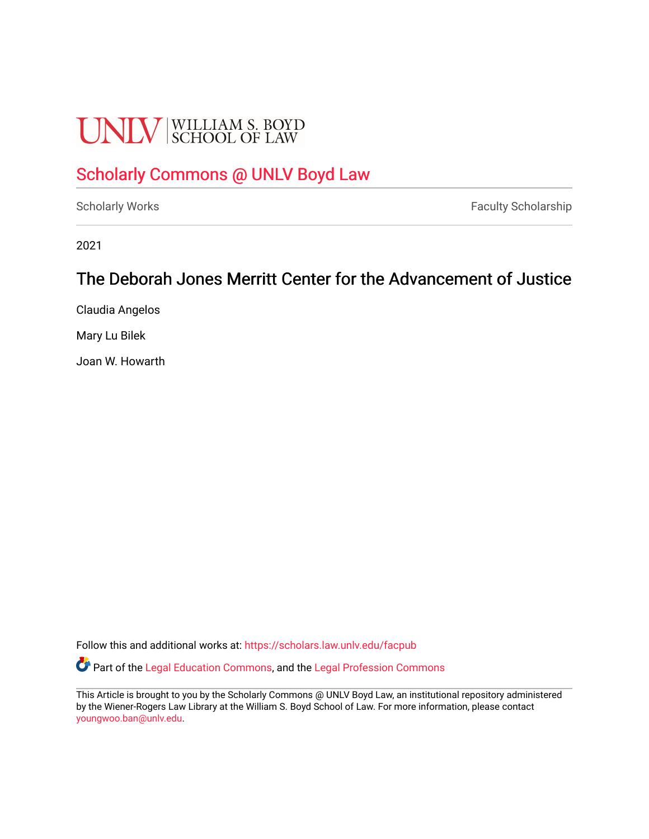# **UNLV** SCHOOL OF LAW

# [Scholarly Commons @ UNLV Boyd Law](https://scholars.law.unlv.edu/)

[Scholarly Works](https://scholars.law.unlv.edu/facpub) **Faculty Scholarship** Faculty Scholarship

2021

# The Deborah Jones Merritt Center for the Advancement of Justice

Claudia Angelos

Mary Lu Bilek

Joan W. Howarth

Follow this and additional works at: [https://scholars.law.unlv.edu/facpub](https://scholars.law.unlv.edu/facpub?utm_source=scholars.law.unlv.edu%2Ffacpub%2F1355&utm_medium=PDF&utm_campaign=PDFCoverPages)

**C** Part of the [Legal Education Commons,](http://network.bepress.com/hgg/discipline/857?utm_source=scholars.law.unlv.edu%2Ffacpub%2F1355&utm_medium=PDF&utm_campaign=PDFCoverPages) and the Legal Profession Commons

This Article is brought to you by the Scholarly Commons @ UNLV Boyd Law, an institutional repository administered by the Wiener-Rogers Law Library at the William S. Boyd School of Law. For more information, please contact [youngwoo.ban@unlv.edu.](mailto:youngwoo.ban@unlv.edu)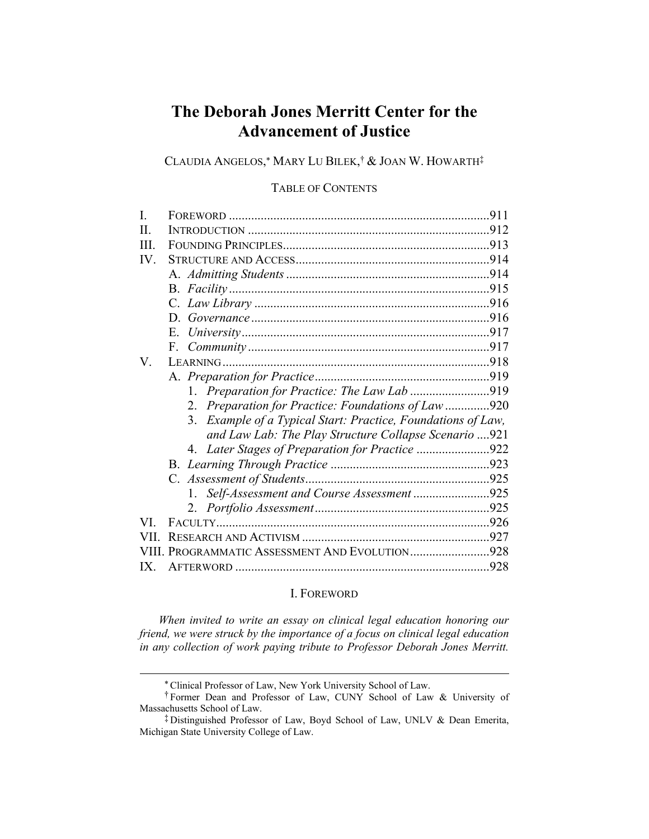# **The Deborah Jones Merritt Center for the Advancement of Justice**

CLAUDIA ANGELOS,\* MARY LU BILEK,<sup>†</sup> & JOAN W. HOWARTH<sup>‡</sup>

# TABLE OF CONTENTS

| I.  |                                                                 |  |
|-----|-----------------------------------------------------------------|--|
| H.  |                                                                 |  |
| Ш.  |                                                                 |  |
| IV. |                                                                 |  |
|     |                                                                 |  |
|     |                                                                 |  |
|     |                                                                 |  |
|     |                                                                 |  |
|     | Е.                                                              |  |
|     | F.                                                              |  |
| V.  |                                                                 |  |
|     |                                                                 |  |
|     |                                                                 |  |
|     | Preparation for Practice: Foundations of Law 920<br>2.          |  |
|     | Example of a Typical Start: Practice, Foundations of Law,<br>3. |  |
|     | and Law Lab: The Play Structure Collapse Scenario  921          |  |
|     | 4. Later Stages of Preparation for Practice 922                 |  |
|     |                                                                 |  |
|     |                                                                 |  |
|     | 1. Self-Assessment and Course Assessment925                     |  |
|     |                                                                 |  |
| VI. |                                                                 |  |
|     |                                                                 |  |
|     | II. PROGRAMMATIC ASSESSMENT AND EVOLUTION928                    |  |
| IX. |                                                                 |  |

## I. FOREWORD

*When invited to write an essay on clinical legal education honoring our friend, we were struck by the importance of a focus on clinical legal education in any collection of work paying tribute to Professor Deborah Jones Merritt.* 

Clinical Professor of Law, New York University School of Law.

<sup>†</sup> Former Dean and Professor of Law, CUNY School of Law & University of Massachusetts School of Law.

<sup>‡</sup> Distinguished Professor of Law, Boyd School of Law, UNLV & Dean Emerita, Michigan State University College of Law.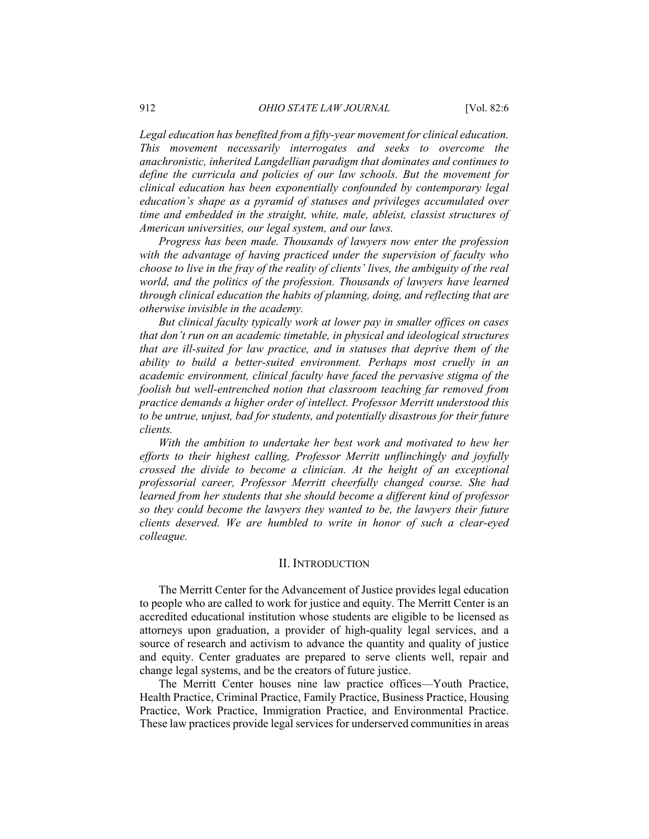*Legal education has benefited from a fifty-year movement for clinical education. This movement necessarily interrogates and seeks to overcome the anachronistic, inherited Langdellian paradigm that dominates and continues to define the curricula and policies of our law schools. But the movement for clinical education has been exponentially confounded by contemporary legal education's shape as a pyramid of statuses and privileges accumulated over time and embedded in the straight, white, male, ableist, classist structures of American universities, our legal system, and our laws.* 

*Progress has been made. Thousands of lawyers now enter the profession with the advantage of having practiced under the supervision of faculty who choose to live in the fray of the reality of clients' lives, the ambiguity of the real world, and the politics of the profession. Thousands of lawyers have learned through clinical education the habits of planning, doing, and reflecting that are otherwise invisible in the academy.* 

*But clinical faculty typically work at lower pay in smaller offices on cases that don't run on an academic timetable, in physical and ideological structures that are ill-suited for law practice, and in statuses that deprive them of the ability to build a better-suited environment. Perhaps most cruelly in an academic environment, clinical faculty have faced the pervasive stigma of the foolish but well-entrenched notion that classroom teaching far removed from practice demands a higher order of intellect. Professor Merritt understood this to be untrue, unjust, bad for students, and potentially disastrous for their future clients.* 

*With the ambition to undertake her best work and motivated to hew her efforts to their highest calling, Professor Merritt unflinchingly and joyfully crossed the divide to become a clinician. At the height of an exceptional professorial career, Professor Merritt cheerfully changed course. She had learned from her students that she should become a different kind of professor so they could become the lawyers they wanted to be, the lawyers their future clients deserved. We are humbled to write in honor of such a clear-eyed colleague.* 

#### II. INTRODUCTION

The Merritt Center for the Advancement of Justice provides legal education to people who are called to work for justice and equity. The Merritt Center is an accredited educational institution whose students are eligible to be licensed as attorneys upon graduation, a provider of high-quality legal services, and a source of research and activism to advance the quantity and quality of justice and equity. Center graduates are prepared to serve clients well, repair and change legal systems, and be the creators of future justice.

The Merritt Center houses nine law practice offices—Youth Practice, Health Practice, Criminal Practice, Family Practice, Business Practice, Housing Practice, Work Practice, Immigration Practice, and Environmental Practice. These law practices provide legal services for underserved communities in areas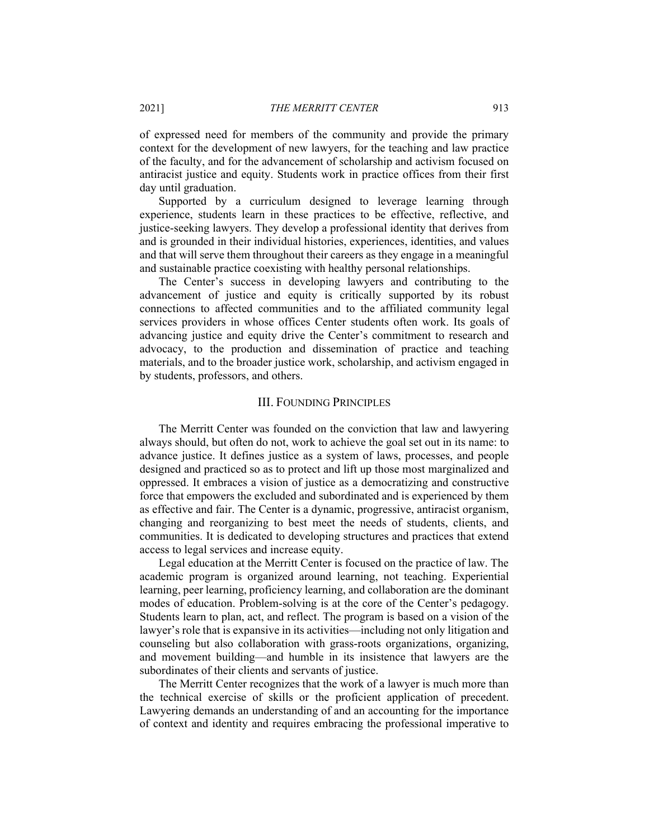of expressed need for members of the community and provide the primary context for the development of new lawyers, for the teaching and law practice of the faculty, and for the advancement of scholarship and activism focused on antiracist justice and equity. Students work in practice offices from their first day until graduation.

Supported by a curriculum designed to leverage learning through experience, students learn in these practices to be effective, reflective, and justice-seeking lawyers. They develop a professional identity that derives from and is grounded in their individual histories, experiences, identities, and values and that will serve them throughout their careers as they engage in a meaningful and sustainable practice coexisting with healthy personal relationships.

The Center's success in developing lawyers and contributing to the advancement of justice and equity is critically supported by its robust connections to affected communities and to the affiliated community legal services providers in whose offices Center students often work. Its goals of advancing justice and equity drive the Center's commitment to research and advocacy, to the production and dissemination of practice and teaching materials, and to the broader justice work, scholarship, and activism engaged in by students, professors, and others.

#### III. FOUNDING PRINCIPLES

The Merritt Center was founded on the conviction that law and lawyering always should, but often do not, work to achieve the goal set out in its name: to advance justice. It defines justice as a system of laws, processes, and people designed and practiced so as to protect and lift up those most marginalized and oppressed. It embraces a vision of justice as a democratizing and constructive force that empowers the excluded and subordinated and is experienced by them as effective and fair. The Center is a dynamic, progressive, antiracist organism, changing and reorganizing to best meet the needs of students, clients, and communities. It is dedicated to developing structures and practices that extend access to legal services and increase equity.

Legal education at the Merritt Center is focused on the practice of law. The academic program is organized around learning, not teaching. Experiential learning, peer learning, proficiency learning, and collaboration are the dominant modes of education. Problem-solving is at the core of the Center's pedagogy. Students learn to plan, act, and reflect. The program is based on a vision of the lawyer's role that is expansive in its activities—including not only litigation and counseling but also collaboration with grass-roots organizations, organizing, and movement building—and humble in its insistence that lawyers are the subordinates of their clients and servants of justice.

The Merritt Center recognizes that the work of a lawyer is much more than the technical exercise of skills or the proficient application of precedent. Lawyering demands an understanding of and an accounting for the importance of context and identity and requires embracing the professional imperative to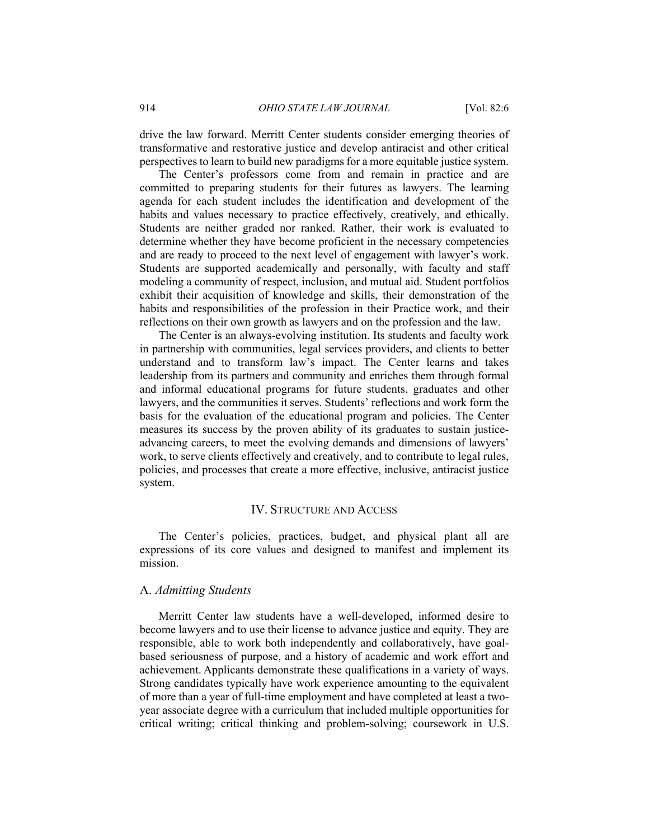drive the law forward. Merritt Center students consider emerging theories of transformative and restorative justice and develop antiracist and other critical perspectives to learn to build new paradigms for a more equitable justice system.

The Center's professors come from and remain in practice and are committed to preparing students for their futures as lawyers. The learning agenda for each student includes the identification and development of the habits and values necessary to practice effectively, creatively, and ethically. Students are neither graded nor ranked. Rather, their work is evaluated to determine whether they have become proficient in the necessary competencies and are ready to proceed to the next level of engagement with lawyer's work. Students are supported academically and personally, with faculty and staff modeling a community of respect, inclusion, and mutual aid. Student portfolios exhibit their acquisition of knowledge and skills, their demonstration of the habits and responsibilities of the profession in their Practice work, and their reflections on their own growth as lawyers and on the profession and the law.

The Center is an always-evolving institution. Its students and faculty work in partnership with communities, legal services providers, and clients to better understand and to transform law's impact. The Center learns and takes leadership from its partners and community and enriches them through formal and informal educational programs for future students, graduates and other lawyers, and the communities it serves. Students' reflections and work form the basis for the evaluation of the educational program and policies. The Center measures its success by the proven ability of its graduates to sustain justiceadvancing careers, to meet the evolving demands and dimensions of lawyers' work, to serve clients effectively and creatively, and to contribute to legal rules, policies, and processes that create a more effective, inclusive, antiracist justice system.

#### IV. STRUCTURE AND ACCESS

The Center's policies, practices, budget, and physical plant all are expressions of its core values and designed to manifest and implement its mission.

#### A. *Admitting Students*

Merritt Center law students have a well-developed, informed desire to become lawyers and to use their license to advance justice and equity. They are responsible, able to work both independently and collaboratively, have goalbased seriousness of purpose, and a history of academic and work effort and achievement. Applicants demonstrate these qualifications in a variety of ways. Strong candidates typically have work experience amounting to the equivalent of more than a year of full-time employment and have completed at least a twoyear associate degree with a curriculum that included multiple opportunities for critical writing; critical thinking and problem-solving; coursework in U.S.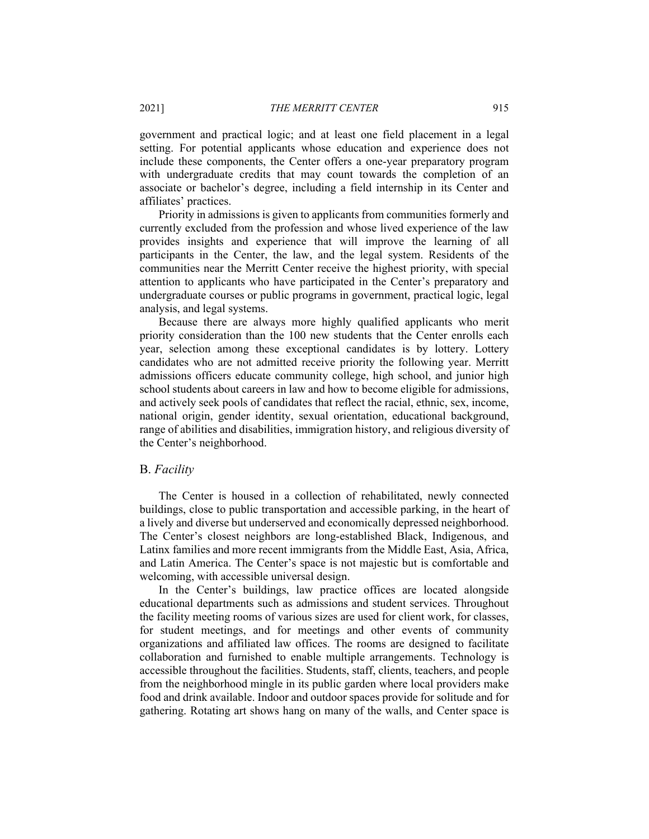government and practical logic; and at least one field placement in a legal setting. For potential applicants whose education and experience does not include these components, the Center offers a one-year preparatory program with undergraduate credits that may count towards the completion of an associate or bachelor's degree, including a field internship in its Center and affiliates' practices.

Priority in admissions is given to applicants from communities formerly and currently excluded from the profession and whose lived experience of the law provides insights and experience that will improve the learning of all participants in the Center, the law, and the legal system. Residents of the communities near the Merritt Center receive the highest priority, with special attention to applicants who have participated in the Center's preparatory and undergraduate courses or public programs in government, practical logic, legal analysis, and legal systems.

Because there are always more highly qualified applicants who merit priority consideration than the 100 new students that the Center enrolls each year, selection among these exceptional candidates is by lottery. Lottery candidates who are not admitted receive priority the following year. Merritt admissions officers educate community college, high school, and junior high school students about careers in law and how to become eligible for admissions, and actively seek pools of candidates that reflect the racial, ethnic, sex, income, national origin, gender identity, sexual orientation, educational background, range of abilities and disabilities, immigration history, and religious diversity of the Center's neighborhood.

#### B. *Facility*

The Center is housed in a collection of rehabilitated, newly connected buildings, close to public transportation and accessible parking, in the heart of a lively and diverse but underserved and economically depressed neighborhood. The Center's closest neighbors are long-established Black, Indigenous, and Latinx families and more recent immigrants from the Middle East, Asia, Africa, and Latin America. The Center's space is not majestic but is comfortable and welcoming, with accessible universal design.

In the Center's buildings, law practice offices are located alongside educational departments such as admissions and student services. Throughout the facility meeting rooms of various sizes are used for client work, for classes, for student meetings, and for meetings and other events of community organizations and affiliated law offices. The rooms are designed to facilitate collaboration and furnished to enable multiple arrangements. Technology is accessible throughout the facilities. Students, staff, clients, teachers, and people from the neighborhood mingle in its public garden where local providers make food and drink available. Indoor and outdoor spaces provide for solitude and for gathering. Rotating art shows hang on many of the walls, and Center space is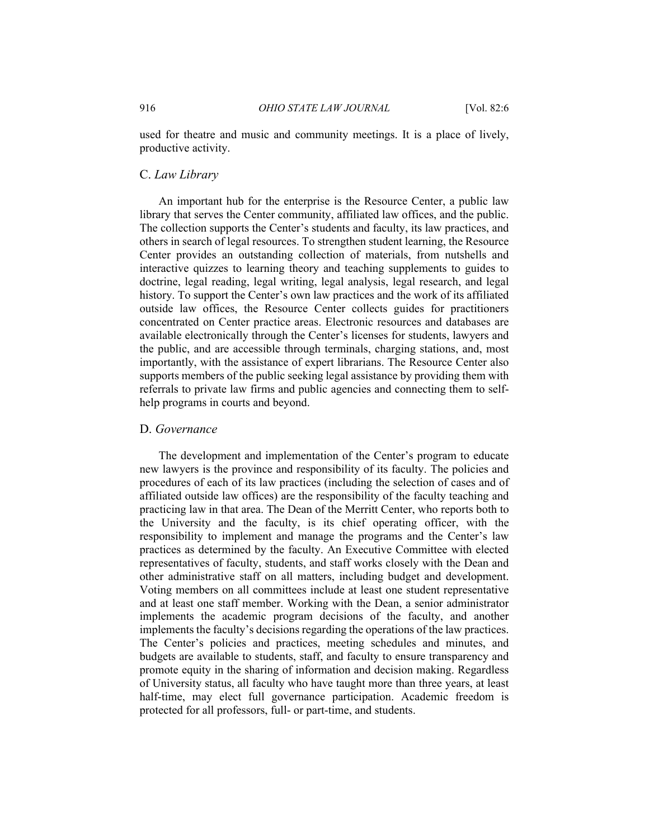used for theatre and music and community meetings. It is a place of lively, productive activity.

## C. *Law Library*

An important hub for the enterprise is the Resource Center, a public law library that serves the Center community, affiliated law offices, and the public. The collection supports the Center's students and faculty, its law practices, and others in search of legal resources. To strengthen student learning, the Resource Center provides an outstanding collection of materials, from nutshells and interactive quizzes to learning theory and teaching supplements to guides to doctrine, legal reading, legal writing, legal analysis, legal research, and legal history. To support the Center's own law practices and the work of its affiliated outside law offices, the Resource Center collects guides for practitioners concentrated on Center practice areas. Electronic resources and databases are available electronically through the Center's licenses for students, lawyers and the public, and are accessible through terminals, charging stations, and, most importantly, with the assistance of expert librarians. The Resource Center also supports members of the public seeking legal assistance by providing them with referrals to private law firms and public agencies and connecting them to selfhelp programs in courts and beyond.

#### D. *Governance*

The development and implementation of the Center's program to educate new lawyers is the province and responsibility of its faculty. The policies and procedures of each of its law practices (including the selection of cases and of affiliated outside law offices) are the responsibility of the faculty teaching and practicing law in that area. The Dean of the Merritt Center, who reports both to the University and the faculty, is its chief operating officer, with the responsibility to implement and manage the programs and the Center's law practices as determined by the faculty. An Executive Committee with elected representatives of faculty, students, and staff works closely with the Dean and other administrative staff on all matters, including budget and development. Voting members on all committees include at least one student representative and at least one staff member. Working with the Dean, a senior administrator implements the academic program decisions of the faculty, and another implements the faculty's decisions regarding the operations of the law practices. The Center's policies and practices, meeting schedules and minutes, and budgets are available to students, staff, and faculty to ensure transparency and promote equity in the sharing of information and decision making. Regardless of University status, all faculty who have taught more than three years, at least half-time, may elect full governance participation. Academic freedom is protected for all professors, full- or part-time, and students.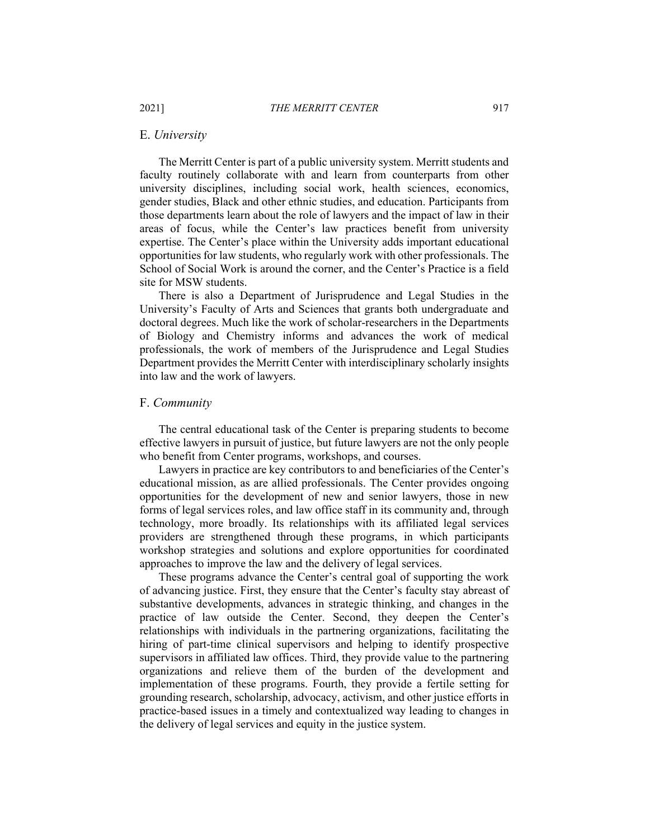#### E. *University*

The Merritt Center is part of a public university system. Merritt students and faculty routinely collaborate with and learn from counterparts from other university disciplines, including social work, health sciences, economics, gender studies, Black and other ethnic studies, and education. Participants from those departments learn about the role of lawyers and the impact of law in their areas of focus, while the Center's law practices benefit from university expertise. The Center's place within the University adds important educational opportunities for law students, who regularly work with other professionals. The School of Social Work is around the corner, and the Center's Practice is a field site for MSW students.

There is also a Department of Jurisprudence and Legal Studies in the University's Faculty of Arts and Sciences that grants both undergraduate and doctoral degrees. Much like the work of scholar-researchers in the Departments of Biology and Chemistry informs and advances the work of medical professionals, the work of members of the Jurisprudence and Legal Studies Department provides the Merritt Center with interdisciplinary scholarly insights into law and the work of lawyers.

#### F. *Community*

The central educational task of the Center is preparing students to become effective lawyers in pursuit of justice, but future lawyers are not the only people who benefit from Center programs, workshops, and courses.

Lawyers in practice are key contributors to and beneficiaries of the Center's educational mission, as are allied professionals. The Center provides ongoing opportunities for the development of new and senior lawyers, those in new forms of legal services roles, and law office staff in its community and, through technology, more broadly. Its relationships with its affiliated legal services providers are strengthened through these programs, in which participants workshop strategies and solutions and explore opportunities for coordinated approaches to improve the law and the delivery of legal services.

These programs advance the Center's central goal of supporting the work of advancing justice. First, they ensure that the Center's faculty stay abreast of substantive developments, advances in strategic thinking, and changes in the practice of law outside the Center. Second, they deepen the Center's relationships with individuals in the partnering organizations, facilitating the hiring of part-time clinical supervisors and helping to identify prospective supervisors in affiliated law offices. Third, they provide value to the partnering organizations and relieve them of the burden of the development and implementation of these programs. Fourth, they provide a fertile setting for grounding research, scholarship, advocacy, activism, and other justice efforts in practice-based issues in a timely and contextualized way leading to changes in the delivery of legal services and equity in the justice system.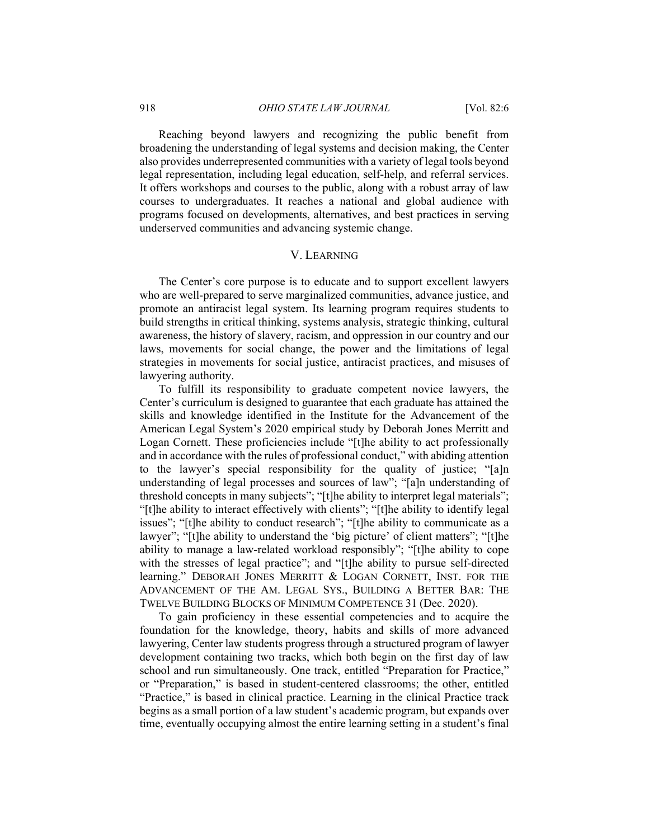Reaching beyond lawyers and recognizing the public benefit from broadening the understanding of legal systems and decision making, the Center also provides underrepresented communities with a variety of legal tools beyond legal representation, including legal education, self-help, and referral services. It offers workshops and courses to the public, along with a robust array of law courses to undergraduates. It reaches a national and global audience with programs focused on developments, alternatives, and best practices in serving underserved communities and advancing systemic change.

#### V. LEARNING

The Center's core purpose is to educate and to support excellent lawyers who are well-prepared to serve marginalized communities, advance justice, and promote an antiracist legal system. Its learning program requires students to build strengths in critical thinking, systems analysis, strategic thinking, cultural awareness, the history of slavery, racism, and oppression in our country and our laws, movements for social change, the power and the limitations of legal strategies in movements for social justice, antiracist practices, and misuses of lawyering authority.

To fulfill its responsibility to graduate competent novice lawyers, the Center's curriculum is designed to guarantee that each graduate has attained the skills and knowledge identified in the Institute for the Advancement of the American Legal System's 2020 empirical study by Deborah Jones Merritt and Logan Cornett. These proficiencies include "[t]he ability to act professionally and in accordance with the rules of professional conduct," with abiding attention to the lawyer's special responsibility for the quality of justice; "[a]n understanding of legal processes and sources of law"; "[a]n understanding of threshold concepts in many subjects"; "[t]he ability to interpret legal materials"; "[t]he ability to interact effectively with clients"; "[t]he ability to identify legal issues"; "[t]he ability to conduct research"; "[t]he ability to communicate as a lawyer"; "[t]he ability to understand the 'big picture' of client matters"; "[t]he ability to manage a law-related workload responsibly"; "[t]he ability to cope with the stresses of legal practice"; and "[t]he ability to pursue self-directed learning." DEBORAH JONES MERRITT & LOGAN CORNETT, INST. FOR THE ADVANCEMENT OF THE AM. LEGAL SYS., BUILDING A BETTER BAR: THE TWELVE BUILDING BLOCKS OF MINIMUM COMPETENCE 31 (Dec. 2020).

To gain proficiency in these essential competencies and to acquire the foundation for the knowledge, theory, habits and skills of more advanced lawyering, Center law students progress through a structured program of lawyer development containing two tracks, which both begin on the first day of law school and run simultaneously. One track, entitled "Preparation for Practice," or "Preparation," is based in student-centered classrooms; the other, entitled "Practice," is based in clinical practice. Learning in the clinical Practice track begins as a small portion of a law student's academic program, but expands over time, eventually occupying almost the entire learning setting in a student's final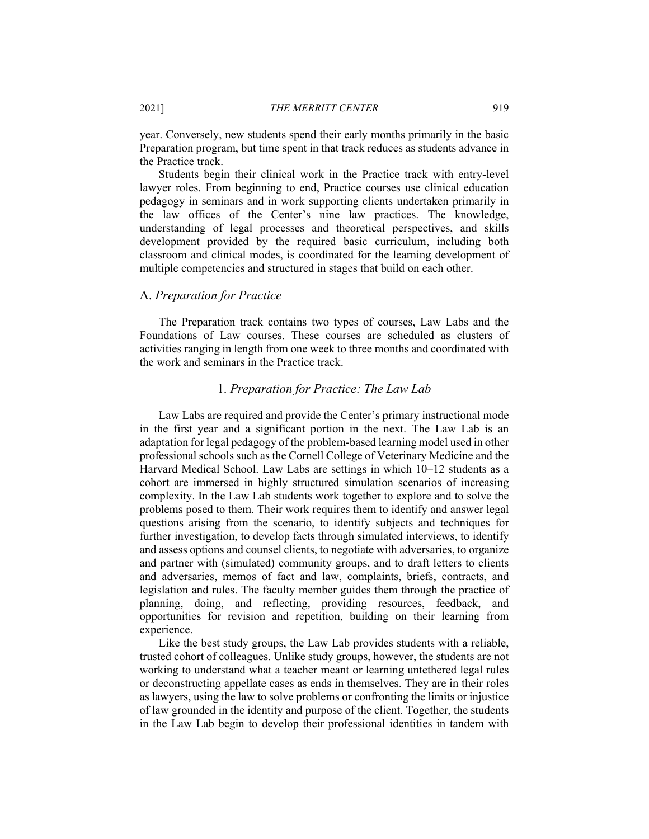year. Conversely, new students spend their early months primarily in the basic Preparation program, but time spent in that track reduces as students advance in the Practice track.

Students begin their clinical work in the Practice track with entry-level lawyer roles. From beginning to end, Practice courses use clinical education pedagogy in seminars and in work supporting clients undertaken primarily in the law offices of the Center's nine law practices. The knowledge, understanding of legal processes and theoretical perspectives, and skills development provided by the required basic curriculum, including both classroom and clinical modes, is coordinated for the learning development of multiple competencies and structured in stages that build on each other.

#### A. *Preparation for Practice*

The Preparation track contains two types of courses, Law Labs and the Foundations of Law courses. These courses are scheduled as clusters of activities ranging in length from one week to three months and coordinated with the work and seminars in the Practice track.

#### 1. *Preparation for Practice: The Law Lab*

Law Labs are required and provide the Center's primary instructional mode in the first year and a significant portion in the next. The Law Lab is an adaptation for legal pedagogy of the problem-based learning model used in other professional schools such as the Cornell College of Veterinary Medicine and the Harvard Medical School. Law Labs are settings in which 10–12 students as a cohort are immersed in highly structured simulation scenarios of increasing complexity. In the Law Lab students work together to explore and to solve the problems posed to them. Their work requires them to identify and answer legal questions arising from the scenario, to identify subjects and techniques for further investigation, to develop facts through simulated interviews, to identify and assess options and counsel clients, to negotiate with adversaries, to organize and partner with (simulated) community groups, and to draft letters to clients and adversaries, memos of fact and law, complaints, briefs, contracts, and legislation and rules. The faculty member guides them through the practice of planning, doing, and reflecting, providing resources, feedback, and opportunities for revision and repetition, building on their learning from experience.

Like the best study groups, the Law Lab provides students with a reliable, trusted cohort of colleagues. Unlike study groups, however, the students are not working to understand what a teacher meant or learning untethered legal rules or deconstructing appellate cases as ends in themselves. They are in their roles as lawyers, using the law to solve problems or confronting the limits or injustice of law grounded in the identity and purpose of the client. Together, the students in the Law Lab begin to develop their professional identities in tandem with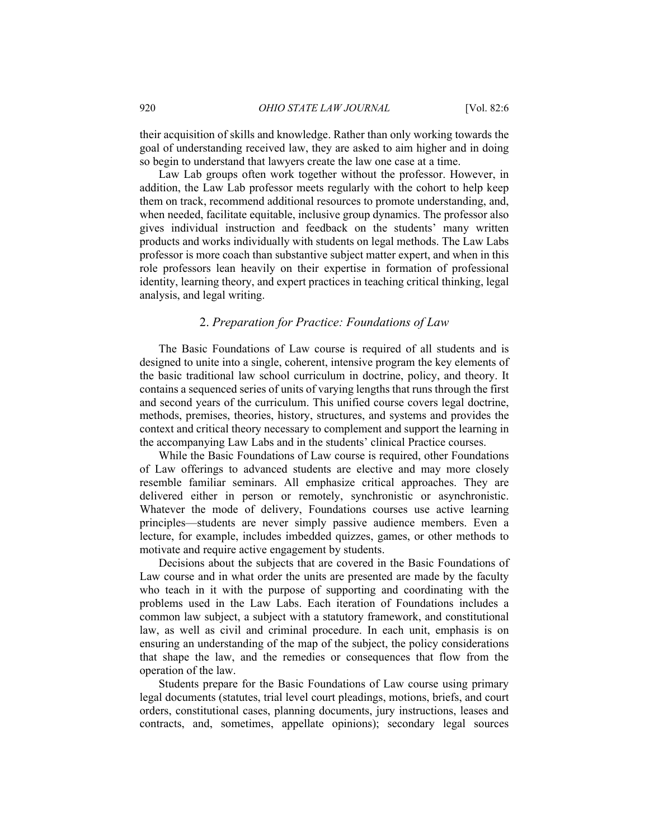their acquisition of skills and knowledge. Rather than only working towards the goal of understanding received law, they are asked to aim higher and in doing so begin to understand that lawyers create the law one case at a time.

Law Lab groups often work together without the professor. However, in addition, the Law Lab professor meets regularly with the cohort to help keep them on track, recommend additional resources to promote understanding, and, when needed, facilitate equitable, inclusive group dynamics. The professor also gives individual instruction and feedback on the students' many written products and works individually with students on legal methods. The Law Labs professor is more coach than substantive subject matter expert, and when in this role professors lean heavily on their expertise in formation of professional identity, learning theory, and expert practices in teaching critical thinking, legal analysis, and legal writing.

## 2. *Preparation for Practice: Foundations of Law*

The Basic Foundations of Law course is required of all students and is designed to unite into a single, coherent, intensive program the key elements of the basic traditional law school curriculum in doctrine, policy, and theory. It contains a sequenced series of units of varying lengths that runs through the first and second years of the curriculum. This unified course covers legal doctrine, methods, premises, theories, history, structures, and systems and provides the context and critical theory necessary to complement and support the learning in the accompanying Law Labs and in the students' clinical Practice courses.

While the Basic Foundations of Law course is required, other Foundations of Law offerings to advanced students are elective and may more closely resemble familiar seminars. All emphasize critical approaches. They are delivered either in person or remotely, synchronistic or asynchronistic. Whatever the mode of delivery, Foundations courses use active learning principles—students are never simply passive audience members. Even a lecture, for example, includes imbedded quizzes, games, or other methods to motivate and require active engagement by students.

Decisions about the subjects that are covered in the Basic Foundations of Law course and in what order the units are presented are made by the faculty who teach in it with the purpose of supporting and coordinating with the problems used in the Law Labs. Each iteration of Foundations includes a common law subject, a subject with a statutory framework, and constitutional law, as well as civil and criminal procedure. In each unit, emphasis is on ensuring an understanding of the map of the subject, the policy considerations that shape the law, and the remedies or consequences that flow from the operation of the law.

Students prepare for the Basic Foundations of Law course using primary legal documents (statutes, trial level court pleadings, motions, briefs, and court orders, constitutional cases, planning documents, jury instructions, leases and contracts, and, sometimes, appellate opinions); secondary legal sources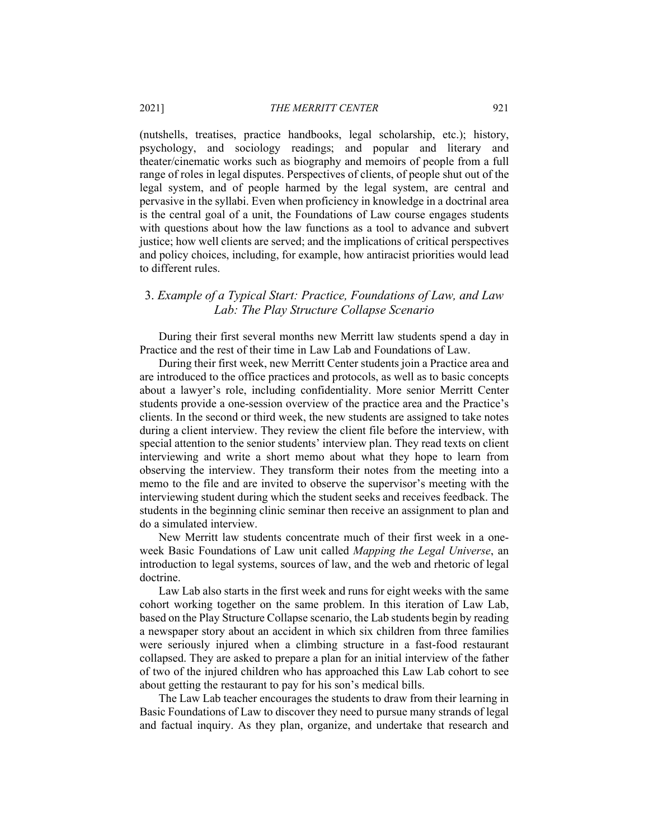(nutshells, treatises, practice handbooks, legal scholarship, etc.); history, psychology, and sociology readings; and popular and literary and theater/cinematic works such as biography and memoirs of people from a full range of roles in legal disputes. Perspectives of clients, of people shut out of the legal system, and of people harmed by the legal system, are central and pervasive in the syllabi. Even when proficiency in knowledge in a doctrinal area is the central goal of a unit, the Foundations of Law course engages students with questions about how the law functions as a tool to advance and subvert justice; how well clients are served; and the implications of critical perspectives and policy choices, including, for example, how antiracist priorities would lead to different rules.

## 3. *Example of a Typical Start: Practice, Foundations of Law, and Law Lab: The Play Structure Collapse Scenario*

During their first several months new Merritt law students spend a day in Practice and the rest of their time in Law Lab and Foundations of Law.

During their first week, new Merritt Center students join a Practice area and are introduced to the office practices and protocols, as well as to basic concepts about a lawyer's role, including confidentiality. More senior Merritt Center students provide a one-session overview of the practice area and the Practice's clients. In the second or third week, the new students are assigned to take notes during a client interview. They review the client file before the interview, with special attention to the senior students' interview plan. They read texts on client interviewing and write a short memo about what they hope to learn from observing the interview. They transform their notes from the meeting into a memo to the file and are invited to observe the supervisor's meeting with the interviewing student during which the student seeks and receives feedback. The students in the beginning clinic seminar then receive an assignment to plan and do a simulated interview.

New Merritt law students concentrate much of their first week in a oneweek Basic Foundations of Law unit called *Mapping the Legal Universe*, an introduction to legal systems, sources of law, and the web and rhetoric of legal doctrine.

Law Lab also starts in the first week and runs for eight weeks with the same cohort working together on the same problem. In this iteration of Law Lab, based on the Play Structure Collapse scenario, the Lab students begin by reading a newspaper story about an accident in which six children from three families were seriously injured when a climbing structure in a fast-food restaurant collapsed. They are asked to prepare a plan for an initial interview of the father of two of the injured children who has approached this Law Lab cohort to see about getting the restaurant to pay for his son's medical bills.

The Law Lab teacher encourages the students to draw from their learning in Basic Foundations of Law to discover they need to pursue many strands of legal and factual inquiry. As they plan, organize, and undertake that research and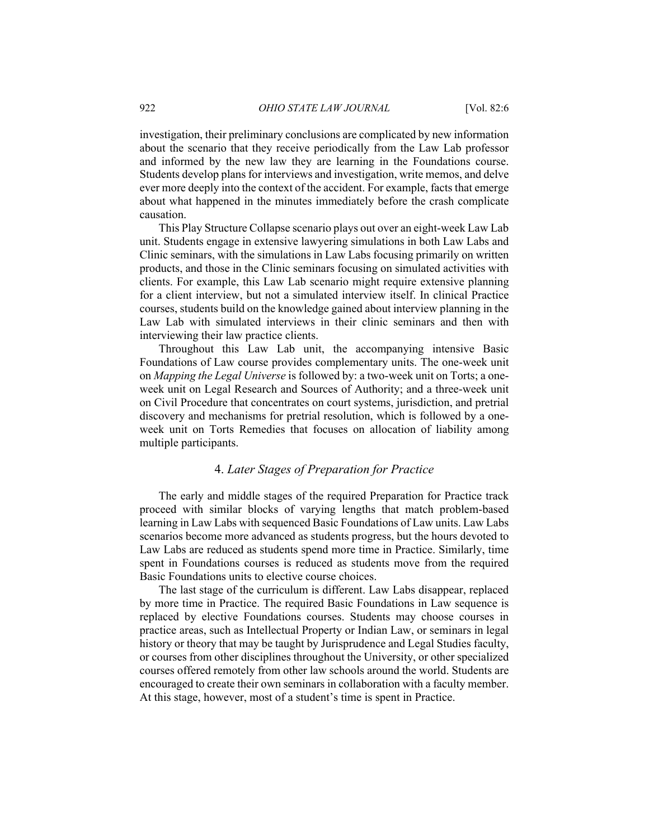investigation, their preliminary conclusions are complicated by new information about the scenario that they receive periodically from the Law Lab professor and informed by the new law they are learning in the Foundations course. Students develop plans for interviews and investigation, write memos, and delve ever more deeply into the context of the accident. For example, facts that emerge about what happened in the minutes immediately before the crash complicate causation.

This Play Structure Collapse scenario plays out over an eight-week Law Lab unit. Students engage in extensive lawyering simulations in both Law Labs and Clinic seminars, with the simulations in Law Labs focusing primarily on written products, and those in the Clinic seminars focusing on simulated activities with clients. For example, this Law Lab scenario might require extensive planning for a client interview, but not a simulated interview itself. In clinical Practice courses, students build on the knowledge gained about interview planning in the Law Lab with simulated interviews in their clinic seminars and then with interviewing their law practice clients.

Throughout this Law Lab unit, the accompanying intensive Basic Foundations of Law course provides complementary units. The one-week unit on *Mapping the Legal Universe* is followed by: a two-week unit on Torts; a oneweek unit on Legal Research and Sources of Authority; and a three-week unit on Civil Procedure that concentrates on court systems, jurisdiction, and pretrial discovery and mechanisms for pretrial resolution, which is followed by a oneweek unit on Torts Remedies that focuses on allocation of liability among multiple participants.

#### 4. *Later Stages of Preparation for Practice*

The early and middle stages of the required Preparation for Practice track proceed with similar blocks of varying lengths that match problem-based learning in Law Labs with sequenced Basic Foundations of Law units. Law Labs scenarios become more advanced as students progress, but the hours devoted to Law Labs are reduced as students spend more time in Practice. Similarly, time spent in Foundations courses is reduced as students move from the required Basic Foundations units to elective course choices.

The last stage of the curriculum is different. Law Labs disappear, replaced by more time in Practice. The required Basic Foundations in Law sequence is replaced by elective Foundations courses. Students may choose courses in practice areas, such as Intellectual Property or Indian Law, or seminars in legal history or theory that may be taught by Jurisprudence and Legal Studies faculty, or courses from other disciplines throughout the University, or other specialized courses offered remotely from other law schools around the world. Students are encouraged to create their own seminars in collaboration with a faculty member. At this stage, however, most of a student's time is spent in Practice.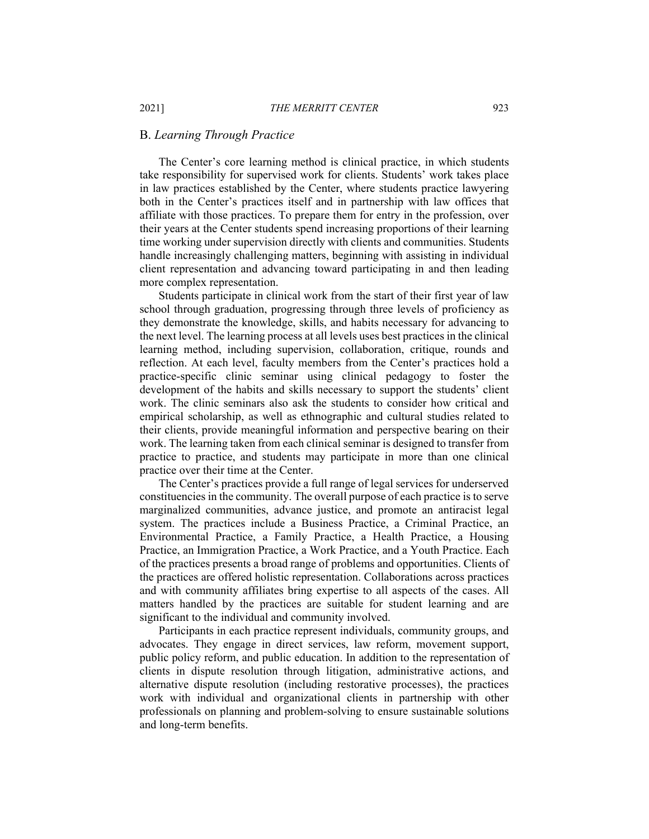#### B. *Learning Through Practice*

The Center's core learning method is clinical practice, in which students take responsibility for supervised work for clients. Students' work takes place in law practices established by the Center, where students practice lawyering both in the Center's practices itself and in partnership with law offices that affiliate with those practices. To prepare them for entry in the profession, over their years at the Center students spend increasing proportions of their learning time working under supervision directly with clients and communities. Students handle increasingly challenging matters, beginning with assisting in individual client representation and advancing toward participating in and then leading more complex representation.

Students participate in clinical work from the start of their first year of law school through graduation, progressing through three levels of proficiency as they demonstrate the knowledge, skills, and habits necessary for advancing to the next level. The learning process at all levels uses best practices in the clinical learning method, including supervision, collaboration, critique, rounds and reflection. At each level, faculty members from the Center's practices hold a practice-specific clinic seminar using clinical pedagogy to foster the development of the habits and skills necessary to support the students' client work. The clinic seminars also ask the students to consider how critical and empirical scholarship, as well as ethnographic and cultural studies related to their clients, provide meaningful information and perspective bearing on their work. The learning taken from each clinical seminar is designed to transfer from practice to practice, and students may participate in more than one clinical practice over their time at the Center.

The Center's practices provide a full range of legal services for underserved constituencies in the community. The overall purpose of each practice is to serve marginalized communities, advance justice, and promote an antiracist legal system. The practices include a Business Practice, a Criminal Practice, an Environmental Practice, a Family Practice, a Health Practice, a Housing Practice, an Immigration Practice, a Work Practice, and a Youth Practice. Each of the practices presents a broad range of problems and opportunities. Clients of the practices are offered holistic representation. Collaborations across practices and with community affiliates bring expertise to all aspects of the cases. All matters handled by the practices are suitable for student learning and are significant to the individual and community involved.

Participants in each practice represent individuals, community groups, and advocates. They engage in direct services, law reform, movement support, public policy reform, and public education. In addition to the representation of clients in dispute resolution through litigation, administrative actions, and alternative dispute resolution (including restorative processes), the practices work with individual and organizational clients in partnership with other professionals on planning and problem-solving to ensure sustainable solutions and long-term benefits.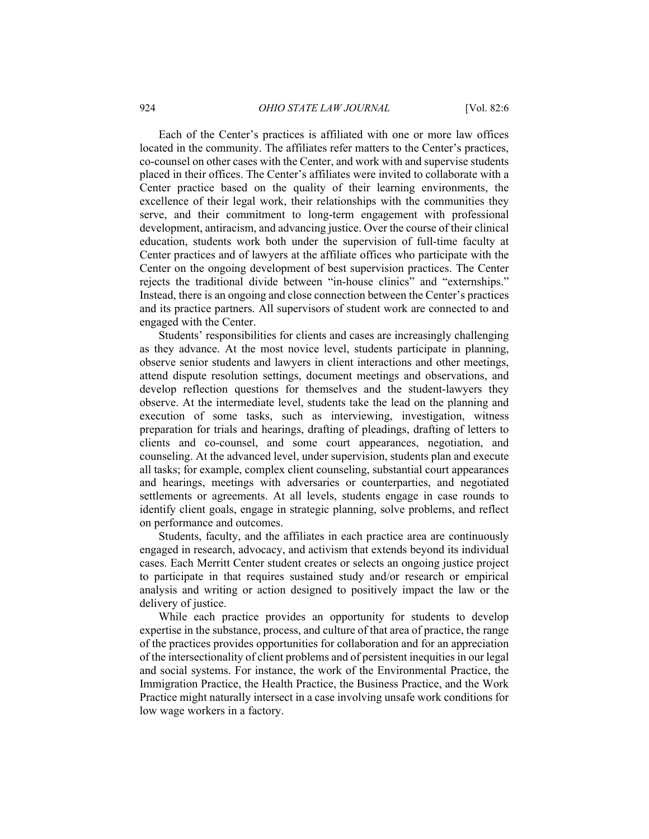Each of the Center's practices is affiliated with one or more law offices located in the community. The affiliates refer matters to the Center's practices, co-counsel on other cases with the Center, and work with and supervise students placed in their offices. The Center's affiliates were invited to collaborate with a Center practice based on the quality of their learning environments, the excellence of their legal work, their relationships with the communities they serve, and their commitment to long-term engagement with professional development, antiracism, and advancing justice. Over the course of their clinical education, students work both under the supervision of full-time faculty at Center practices and of lawyers at the affiliate offices who participate with the Center on the ongoing development of best supervision practices. The Center rejects the traditional divide between "in-house clinics" and "externships." Instead, there is an ongoing and close connection between the Center's practices and its practice partners. All supervisors of student work are connected to and engaged with the Center.

Students' responsibilities for clients and cases are increasingly challenging as they advance. At the most novice level, students participate in planning, observe senior students and lawyers in client interactions and other meetings, attend dispute resolution settings, document meetings and observations, and develop reflection questions for themselves and the student-lawyers they observe. At the intermediate level, students take the lead on the planning and execution of some tasks, such as interviewing, investigation, witness preparation for trials and hearings, drafting of pleadings, drafting of letters to clients and co-counsel, and some court appearances, negotiation, and counseling. At the advanced level, under supervision, students plan and execute all tasks; for example, complex client counseling, substantial court appearances and hearings, meetings with adversaries or counterparties, and negotiated settlements or agreements. At all levels, students engage in case rounds to identify client goals, engage in strategic planning, solve problems, and reflect on performance and outcomes.

Students, faculty, and the affiliates in each practice area are continuously engaged in research, advocacy, and activism that extends beyond its individual cases. Each Merritt Center student creates or selects an ongoing justice project to participate in that requires sustained study and/or research or empirical analysis and writing or action designed to positively impact the law or the delivery of justice.

While each practice provides an opportunity for students to develop expertise in the substance, process, and culture of that area of practice, the range of the practices provides opportunities for collaboration and for an appreciation of the intersectionality of client problems and of persistent inequities in our legal and social systems. For instance, the work of the Environmental Practice, the Immigration Practice, the Health Practice, the Business Practice, and the Work Practice might naturally intersect in a case involving unsafe work conditions for low wage workers in a factory.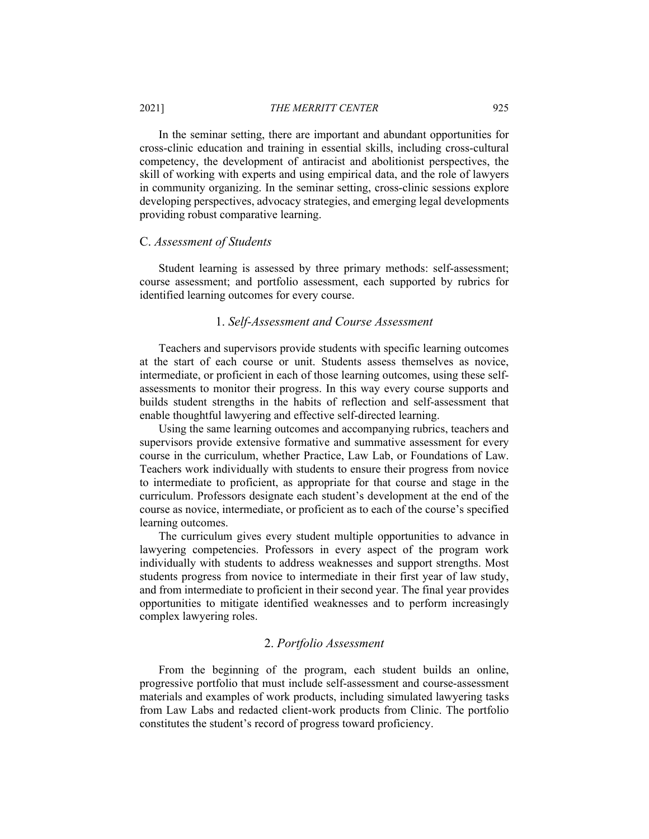In the seminar setting, there are important and abundant opportunities for cross-clinic education and training in essential skills, including cross-cultural competency, the development of antiracist and abolitionist perspectives, the skill of working with experts and using empirical data, and the role of lawyers in community organizing. In the seminar setting, cross-clinic sessions explore developing perspectives, advocacy strategies, and emerging legal developments providing robust comparative learning.

### C. *Assessment of Students*

Student learning is assessed by three primary methods: self-assessment; course assessment; and portfolio assessment, each supported by rubrics for identified learning outcomes for every course.

#### 1. *Self-Assessment and Course Assessment*

Teachers and supervisors provide students with specific learning outcomes at the start of each course or unit. Students assess themselves as novice, intermediate, or proficient in each of those learning outcomes, using these selfassessments to monitor their progress. In this way every course supports and builds student strengths in the habits of reflection and self-assessment that enable thoughtful lawyering and effective self-directed learning.

Using the same learning outcomes and accompanying rubrics, teachers and supervisors provide extensive formative and summative assessment for every course in the curriculum, whether Practice, Law Lab, or Foundations of Law. Teachers work individually with students to ensure their progress from novice to intermediate to proficient, as appropriate for that course and stage in the curriculum. Professors designate each student's development at the end of the course as novice, intermediate, or proficient as to each of the course's specified learning outcomes.

The curriculum gives every student multiple opportunities to advance in lawyering competencies. Professors in every aspect of the program work individually with students to address weaknesses and support strengths. Most students progress from novice to intermediate in their first year of law study, and from intermediate to proficient in their second year. The final year provides opportunities to mitigate identified weaknesses and to perform increasingly complex lawyering roles.

#### 2. *Portfolio Assessment*

From the beginning of the program, each student builds an online, progressive portfolio that must include self-assessment and course-assessment materials and examples of work products, including simulated lawyering tasks from Law Labs and redacted client-work products from Clinic. The portfolio constitutes the student's record of progress toward proficiency.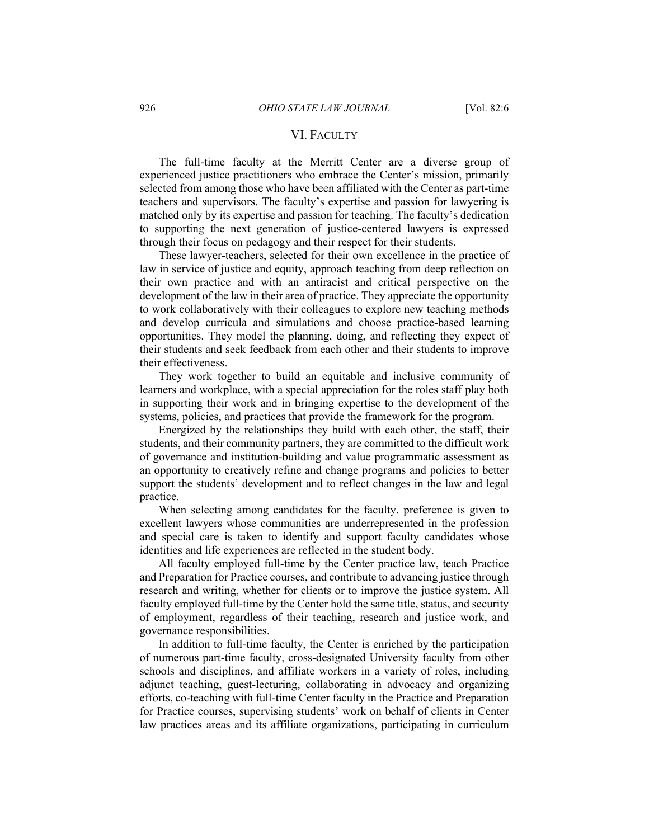# VI. FACULTY

The full-time faculty at the Merritt Center are a diverse group of experienced justice practitioners who embrace the Center's mission, primarily selected from among those who have been affiliated with the Center as part-time teachers and supervisors. The faculty's expertise and passion for lawyering is matched only by its expertise and passion for teaching. The faculty's dedication to supporting the next generation of justice-centered lawyers is expressed through their focus on pedagogy and their respect for their students.

These lawyer-teachers, selected for their own excellence in the practice of law in service of justice and equity, approach teaching from deep reflection on their own practice and with an antiracist and critical perspective on the development of the law in their area of practice. They appreciate the opportunity to work collaboratively with their colleagues to explore new teaching methods and develop curricula and simulations and choose practice-based learning opportunities. They model the planning, doing, and reflecting they expect of their students and seek feedback from each other and their students to improve their effectiveness.

They work together to build an equitable and inclusive community of learners and workplace, with a special appreciation for the roles staff play both in supporting their work and in bringing expertise to the development of the systems, policies, and practices that provide the framework for the program.

Energized by the relationships they build with each other, the staff, their students, and their community partners, they are committed to the difficult work of governance and institution-building and value programmatic assessment as an opportunity to creatively refine and change programs and policies to better support the students' development and to reflect changes in the law and legal practice.

When selecting among candidates for the faculty, preference is given to excellent lawyers whose communities are underrepresented in the profession and special care is taken to identify and support faculty candidates whose identities and life experiences are reflected in the student body.

All faculty employed full-time by the Center practice law, teach Practice and Preparation for Practice courses, and contribute to advancing justice through research and writing, whether for clients or to improve the justice system. All faculty employed full-time by the Center hold the same title, status, and security of employment, regardless of their teaching, research and justice work, and governance responsibilities.

In addition to full-time faculty, the Center is enriched by the participation of numerous part-time faculty, cross-designated University faculty from other schools and disciplines, and affiliate workers in a variety of roles, including adjunct teaching, guest-lecturing, collaborating in advocacy and organizing efforts, co-teaching with full-time Center faculty in the Practice and Preparation for Practice courses, supervising students' work on behalf of clients in Center law practices areas and its affiliate organizations, participating in curriculum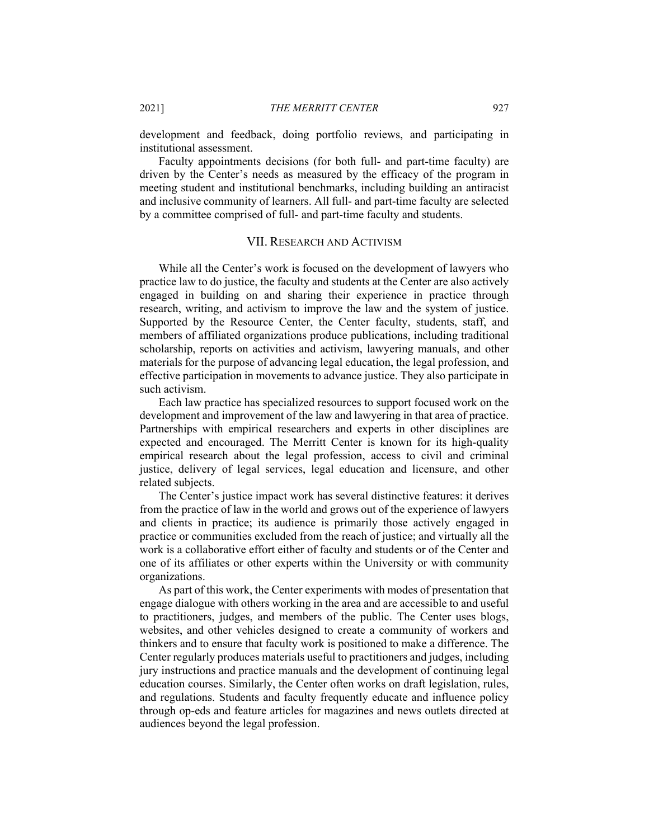development and feedback, doing portfolio reviews, and participating in institutional assessment.

Faculty appointments decisions (for both full- and part-time faculty) are driven by the Center's needs as measured by the efficacy of the program in meeting student and institutional benchmarks, including building an antiracist and inclusive community of learners. All full- and part-time faculty are selected by a committee comprised of full- and part-time faculty and students.

#### VII. RESEARCH AND ACTIVISM

While all the Center's work is focused on the development of lawyers who practice law to do justice, the faculty and students at the Center are also actively engaged in building on and sharing their experience in practice through research, writing, and activism to improve the law and the system of justice. Supported by the Resource Center, the Center faculty, students, staff, and members of affiliated organizations produce publications, including traditional scholarship, reports on activities and activism, lawyering manuals, and other materials for the purpose of advancing legal education, the legal profession, and effective participation in movements to advance justice. They also participate in such activism.

Each law practice has specialized resources to support focused work on the development and improvement of the law and lawyering in that area of practice. Partnerships with empirical researchers and experts in other disciplines are expected and encouraged. The Merritt Center is known for its high-quality empirical research about the legal profession, access to civil and criminal justice, delivery of legal services, legal education and licensure, and other related subjects.

The Center's justice impact work has several distinctive features: it derives from the practice of law in the world and grows out of the experience of lawyers and clients in practice; its audience is primarily those actively engaged in practice or communities excluded from the reach of justice; and virtually all the work is a collaborative effort either of faculty and students or of the Center and one of its affiliates or other experts within the University or with community organizations.

As part of this work, the Center experiments with modes of presentation that engage dialogue with others working in the area and are accessible to and useful to practitioners, judges, and members of the public. The Center uses blogs, websites, and other vehicles designed to create a community of workers and thinkers and to ensure that faculty work is positioned to make a difference. The Center regularly produces materials useful to practitioners and judges, including jury instructions and practice manuals and the development of continuing legal education courses. Similarly, the Center often works on draft legislation, rules, and regulations. Students and faculty frequently educate and influence policy through op-eds and feature articles for magazines and news outlets directed at audiences beyond the legal profession.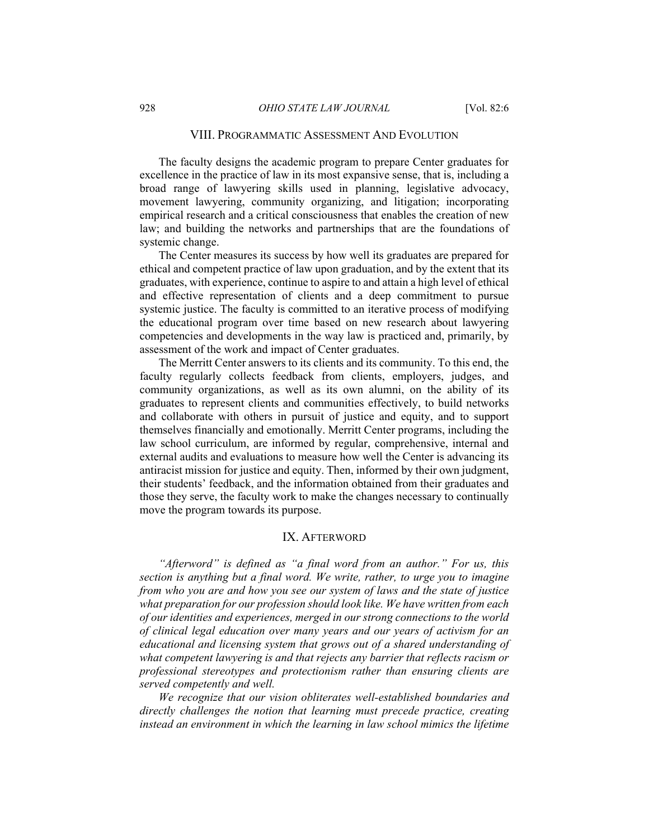#### VIII. PROGRAMMATIC ASSESSMENT AND EVOLUTION

The faculty designs the academic program to prepare Center graduates for excellence in the practice of law in its most expansive sense, that is, including a broad range of lawyering skills used in planning, legislative advocacy, movement lawyering, community organizing, and litigation; incorporating empirical research and a critical consciousness that enables the creation of new law; and building the networks and partnerships that are the foundations of systemic change.

The Center measures its success by how well its graduates are prepared for ethical and competent practice of law upon graduation, and by the extent that its graduates, with experience, continue to aspire to and attain a high level of ethical and effective representation of clients and a deep commitment to pursue systemic justice. The faculty is committed to an iterative process of modifying the educational program over time based on new research about lawyering competencies and developments in the way law is practiced and, primarily, by assessment of the work and impact of Center graduates.

The Merritt Center answers to its clients and its community. To this end, the faculty regularly collects feedback from clients, employers, judges, and community organizations, as well as its own alumni, on the ability of its graduates to represent clients and communities effectively, to build networks and collaborate with others in pursuit of justice and equity, and to support themselves financially and emotionally. Merritt Center programs, including the law school curriculum, are informed by regular, comprehensive, internal and external audits and evaluations to measure how well the Center is advancing its antiracist mission for justice and equity. Then, informed by their own judgment, their students' feedback, and the information obtained from their graduates and those they serve, the faculty work to make the changes necessary to continually move the program towards its purpose.

#### IX. AFTERWORD

*"Afterword" is defined as "a final word from an author." For us, this section is anything but a final word. We write, rather, to urge you to imagine from who you are and how you see our system of laws and the state of justice what preparation for our profession should look like. We have written from each of our identities and experiences, merged in our strong connections to the world of clinical legal education over many years and our years of activism for an educational and licensing system that grows out of a shared understanding of what competent lawyering is and that rejects any barrier that reflects racism or professional stereotypes and protectionism rather than ensuring clients are served competently and well.* 

*We recognize that our vision obliterates well-established boundaries and directly challenges the notion that learning must precede practice, creating instead an environment in which the learning in law school mimics the lifetime*